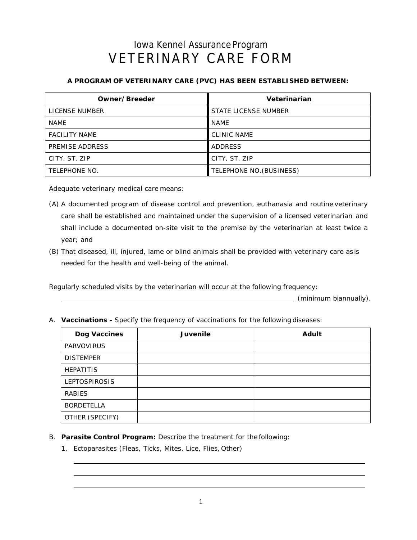## Iowa Kennel AssuranceProgram VETERINARY CARE FORM

## **A PROGRAM OF VETERINARY CARE (PVC) HAS BEEN ESTABLISHED BETWEEN:**

| Owner/Breeder        | Veterinarian             |
|----------------------|--------------------------|
| LICENSE NUMBER       | STATE LICENSE NUMBER     |
| <b>NAME</b>          | <b>NAME</b>              |
| <b>FACILITY NAME</b> | <b>CLINIC NAME</b>       |
| PREMISE ADDRESS      | <b>ADDRESS</b>           |
| CITY, ST. ZIP        | CITY, ST, ZIP            |
| TELEPHONE NO.        | TELEPHONE NO. (BUSINESS) |

Adequate veterinary medical care means:

- (A) A documented program of disease control and prevention, euthanasia and routine veterinary care shall be established and maintained under the supervision of a licensed veterinarian and shall include a documented on-site visit to the premise by the veterinarian at least twice a year; and
- (B) That diseased, ill, injured, lame or blind animals shall be provided with veterinary care as is needed for the health and well-being of the animal.

Regularly scheduled visits by the veterinarian will occur at the following frequency:

(minimum biannually).

A. **Vaccinations -** Specify the frequency of vaccinations for the following diseases:

| <b>Dog Vaccines</b>  | Juvenile | <b>Adult</b> |  |
|----------------------|----------|--------------|--|
| <b>PARVOVIRUS</b>    |          |              |  |
| <b>DISTEMPER</b>     |          |              |  |
| <b>HEPATITIS</b>     |          |              |  |
| <b>LEPTOSPIROSIS</b> |          |              |  |
| <b>RABIES</b>        |          |              |  |
| <b>BORDETELLA</b>    |          |              |  |
| OTHER (SPECIFY)      |          |              |  |

- B. **Parasite Control Program:** Describe the treatment for the following:
	- 1. Ectoparasites (Fleas, Ticks, Mites, Lice, Flies, Other)